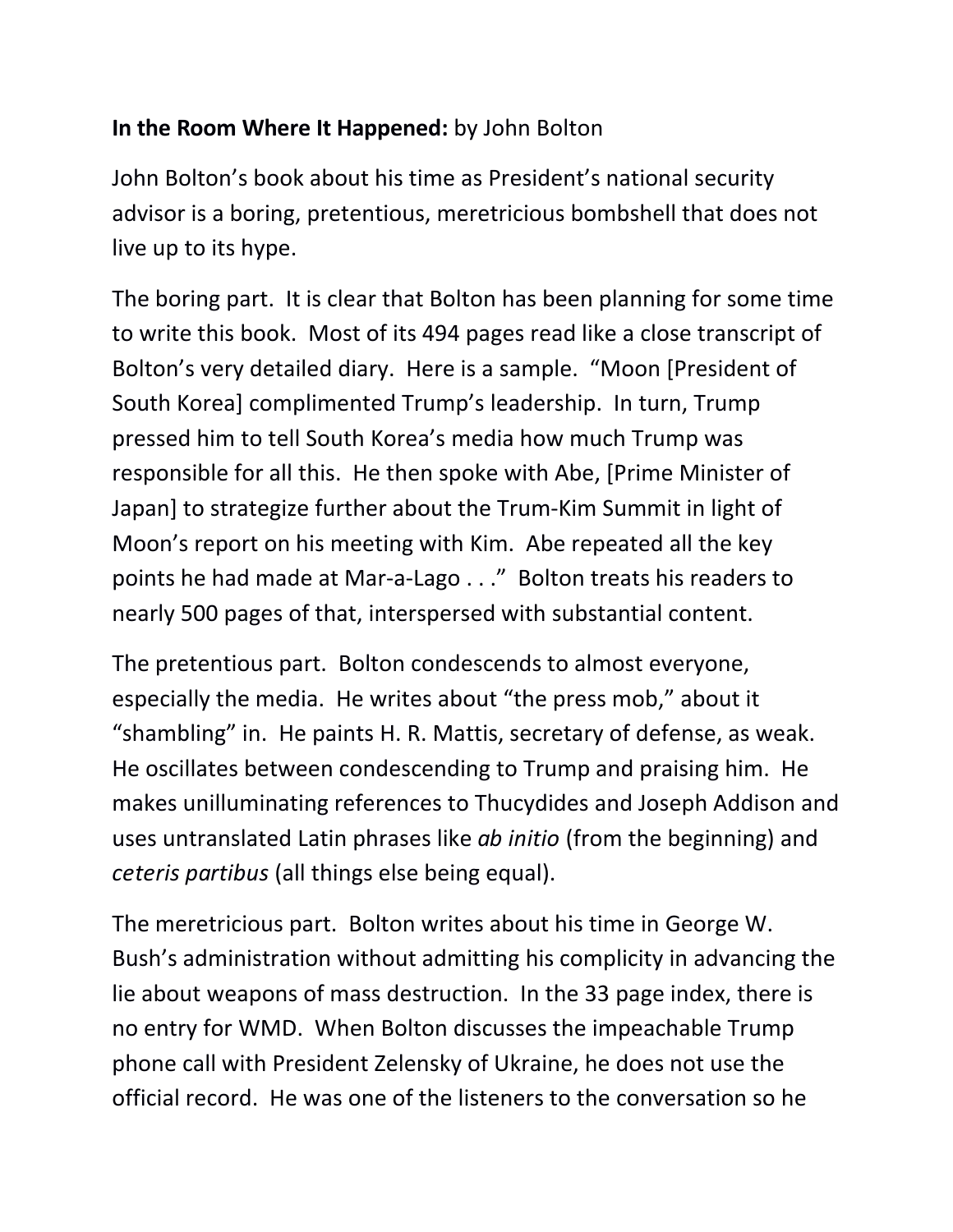## **In the Room Where It Happened:** by John Bolton

John Bolton's book about his time as President's national security advisor is a boring, pretentious, meretricious bombshell that does not live up to its hype.

The boring part. It is clear that Bolton has been planning for some time to write this book. Most of its 494 pages read like a close transcript of Bolton's very detailed diary. Here is a sample. "Moon [President of South Korea] complimented Trump's leadership. In turn, Trump pressed him to tell South Korea's media how much Trump was responsible for all this. He then spoke with Abe, [Prime Minister of Japan] to strategize further about the Trum-Kim Summit in light of Moon's report on his meeting with Kim. Abe repeated all the key points he had made at Mar-a-Lago . . ." Bolton treats his readers to nearly 500 pages of that, interspersed with substantial content.

The pretentious part. Bolton condescends to almost everyone, especially the media. He writes about "the press mob," about it "shambling" in. He paints H. R. Mattis, secretary of defense, as weak.<br>He oscillates between condescending to Trump and praising him. He makes unilluminating references to Thucydides and Joseph Addison and uses untranslated Latin phrases like *ab initio* (from the beginning) and *ceteris partibus* (all things else being equal).

The meretricious part. Bolton writes about his time in George W. Bush's administration without admitting his complicity in advancing the lie about weapons of mass destruction. In the 33 page index, there is no entry for WMD. When Bolton discusses the impeachable Trump phone call with President Zelensky of Ukraine, he does not use the official record. He was one of the listeners to the conversation so he